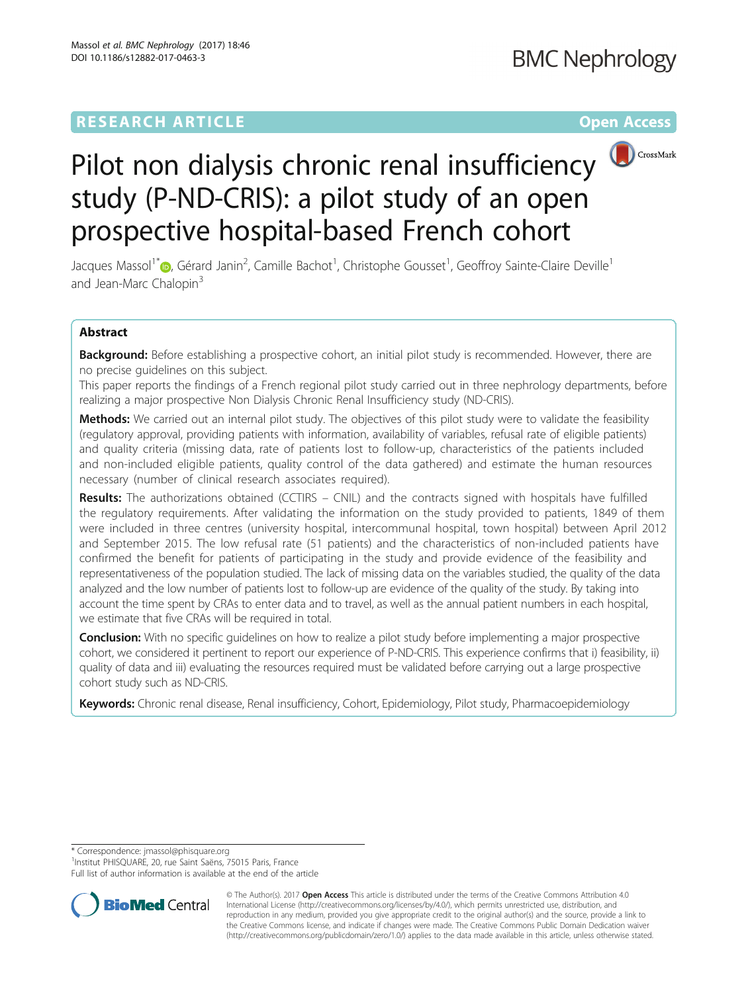## **RESEARCH ARTICLE Example 2018 12:00 Department of the Contract Open Access**



# Pilot non dialysis chronic renal insufficiency study (P-ND-CRIS): a pilot study of an open prospective hospital-based French cohort

Jacques Massol<sup>1[\\*](http://orcid.org/0000-0003-0841-1608)</sup>®, Gérard Janin<sup>2</sup>, Camille Bachot<sup>1</sup>, Christophe Gousset<sup>1</sup>, Geoffroy Sainte-Claire Deville<sup>1</sup> and Jean-Marc Chalopin<sup>3</sup>

## Abstract

Background: Before establishing a prospective cohort, an initial pilot study is recommended. However, there are no precise guidelines on this subject.

This paper reports the findings of a French regional pilot study carried out in three nephrology departments, before realizing a major prospective Non Dialysis Chronic Renal Insufficiency study (ND-CRIS).

Methods: We carried out an internal pilot study. The objectives of this pilot study were to validate the feasibility (regulatory approval, providing patients with information, availability of variables, refusal rate of eligible patients) and quality criteria (missing data, rate of patients lost to follow-up, characteristics of the patients included and non-included eligible patients, quality control of the data gathered) and estimate the human resources necessary (number of clinical research associates required).

Results: The authorizations obtained (CCTIRS – CNIL) and the contracts signed with hospitals have fulfilled the regulatory requirements. After validating the information on the study provided to patients, 1849 of them were included in three centres (university hospital, intercommunal hospital, town hospital) between April 2012 and September 2015. The low refusal rate (51 patients) and the characteristics of non-included patients have confirmed the benefit for patients of participating in the study and provide evidence of the feasibility and representativeness of the population studied. The lack of missing data on the variables studied, the quality of the data analyzed and the low number of patients lost to follow-up are evidence of the quality of the study. By taking into account the time spent by CRAs to enter data and to travel, as well as the annual patient numbers in each hospital, we estimate that five CRAs will be required in total.

**Conclusion:** With no specific quidelines on how to realize a pilot study before implementing a major prospective cohort, we considered it pertinent to report our experience of P-ND-CRIS. This experience confirms that i) feasibility, ii) quality of data and iii) evaluating the resources required must be validated before carrying out a large prospective cohort study such as ND-CRIS.

Keywords: Chronic renal disease, Renal insufficiency, Cohort, Epidemiology, Pilot study, Pharmacoepidemiology

\* Correspondence: [jmassol@phisquare.org](mailto:jmassol@phisquare.org) <sup>1</sup>

<sup>1</sup>Institut PHISQUARE, 20, rue Saint Saëns, 75015 Paris, France

Full list of author information is available at the end of the article



© The Author(s). 2017 **Open Access** This article is distributed under the terms of the Creative Commons Attribution 4.0 International License [\(http://creativecommons.org/licenses/by/4.0/](http://creativecommons.org/licenses/by/4.0/)), which permits unrestricted use, distribution, and reproduction in any medium, provided you give appropriate credit to the original author(s) and the source, provide a link to the Creative Commons license, and indicate if changes were made. The Creative Commons Public Domain Dedication waiver [\(http://creativecommons.org/publicdomain/zero/1.0/](http://creativecommons.org/publicdomain/zero/1.0/)) applies to the data made available in this article, unless otherwise stated.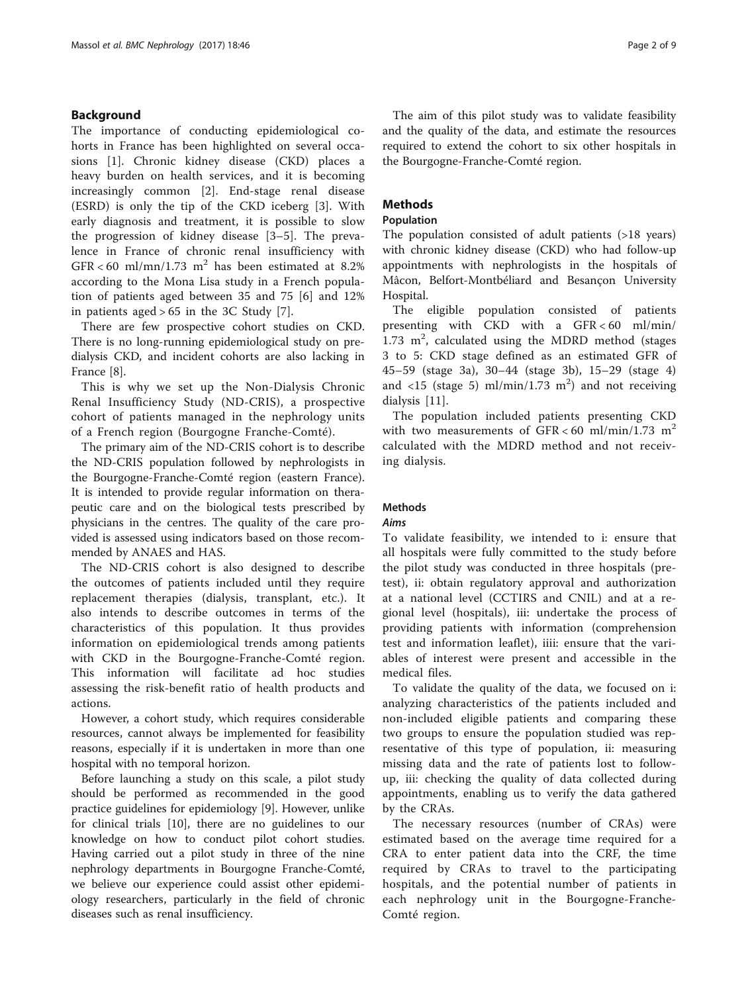## Background

The importance of conducting epidemiological cohorts in France has been highlighted on several occasions [\[1](#page-8-0)]. Chronic kidney disease (CKD) places a heavy burden on health services, and it is becoming increasingly common [\[2](#page-8-0)]. End-stage renal disease (ESRD) is only the tip of the CKD iceberg [[3](#page-8-0)]. With early diagnosis and treatment, it is possible to slow the progression of kidney disease [[3](#page-8-0)–[5\]](#page-8-0). The prevalence in France of chronic renal insufficiency with GFR < 60 ml/mn/1.73 m<sup>2</sup> has been estimated at 8.2% according to the Mona Lisa study in a French population of patients aged between 35 and 75 [\[6](#page-8-0)] and 12% in patients aged  $> 65$  in the 3C Study [\[7](#page-8-0)].

There are few prospective cohort studies on CKD. There is no long-running epidemiological study on predialysis CKD, and incident cohorts are also lacking in France [\[8](#page-8-0)].

This is why we set up the Non-Dialysis Chronic Renal Insufficiency Study (ND-CRIS), a prospective cohort of patients managed in the nephrology units of a French region (Bourgogne Franche-Comté).

The primary aim of the ND-CRIS cohort is to describe the ND-CRIS population followed by nephrologists in the Bourgogne-Franche-Comté region (eastern France). It is intended to provide regular information on therapeutic care and on the biological tests prescribed by physicians in the centres. The quality of the care provided is assessed using indicators based on those recommended by ANAES and HAS.

The ND-CRIS cohort is also designed to describe the outcomes of patients included until they require replacement therapies (dialysis, transplant, etc.). It also intends to describe outcomes in terms of the characteristics of this population. It thus provides information on epidemiological trends among patients with CKD in the Bourgogne-Franche-Comté region. This information will facilitate ad hoc studies assessing the risk-benefit ratio of health products and actions.

However, a cohort study, which requires considerable resources, cannot always be implemented for feasibility reasons, especially if it is undertaken in more than one hospital with no temporal horizon.

Before launching a study on this scale, a pilot study should be performed as recommended in the good practice guidelines for epidemiology [\[9\]](#page-8-0). However, unlike for clinical trials [\[10](#page-8-0)], there are no guidelines to our knowledge on how to conduct pilot cohort studies. Having carried out a pilot study in three of the nine nephrology departments in Bourgogne Franche-Comté, we believe our experience could assist other epidemiology researchers, particularly in the field of chronic diseases such as renal insufficiency.

The aim of this pilot study was to validate feasibility and the quality of the data, and estimate the resources required to extend the cohort to six other hospitals in the Bourgogne-Franche-Comté region.

## Methods

#### Population

The population consisted of adult patients (>18 years) with chronic kidney disease (CKD) who had follow-up appointments with nephrologists in the hospitals of Mâcon, Belfort-Montbéliard and Besançon University Hospital.

The eligible population consisted of patients presenting with CKD with a GFR < 60 ml/min/ 1.73  $m^2$ , calculated using the MDRD method (stages 3 to 5: CKD stage defined as an estimated GFR of 45–59 (stage 3a), 30–44 (stage 3b), 15–29 (stage 4) and <15 (stage 5) ml/min/1.73  $m<sup>2</sup>$ ) and not receiving dialysis [[11\]](#page-8-0).

The population included patients presenting CKD with two measurements of  $GFR < 60$  ml/min/1.73 m<sup>2</sup> calculated with the MDRD method and not receiving dialysis.

## Methods

## Aims

To validate feasibility, we intended to i: ensure that all hospitals were fully committed to the study before the pilot study was conducted in three hospitals (pretest), ii: obtain regulatory approval and authorization at a national level (CCTIRS and CNIL) and at a regional level (hospitals), iii: undertake the process of providing patients with information (comprehension test and information leaflet), iiii: ensure that the variables of interest were present and accessible in the medical files.

To validate the quality of the data, we focused on i: analyzing characteristics of the patients included and non-included eligible patients and comparing these two groups to ensure the population studied was representative of this type of population, ii: measuring missing data and the rate of patients lost to followup, iii: checking the quality of data collected during appointments, enabling us to verify the data gathered by the CRAs.

The necessary resources (number of CRAs) were estimated based on the average time required for a CRA to enter patient data into the CRF, the time required by CRAs to travel to the participating hospitals, and the potential number of patients in each nephrology unit in the Bourgogne-Franche-Comté region.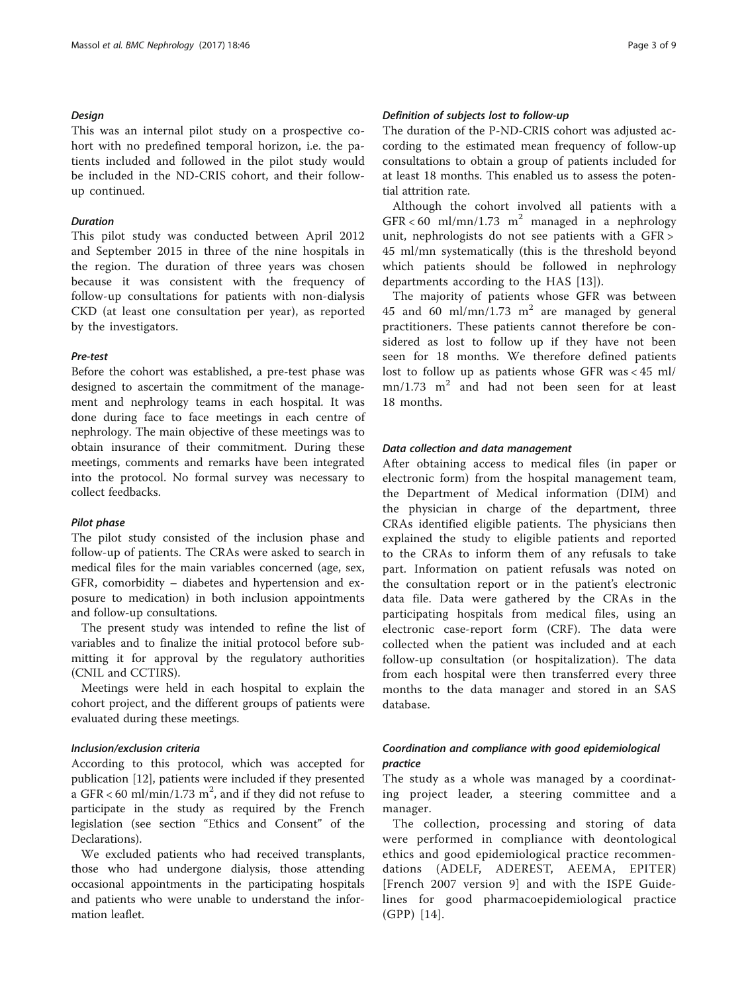#### Design

This was an internal pilot study on a prospective cohort with no predefined temporal horizon, i.e. the patients included and followed in the pilot study would be included in the ND-CRIS cohort, and their followup continued.

### Duration

This pilot study was conducted between April 2012 and September 2015 in three of the nine hospitals in the region. The duration of three years was chosen because it was consistent with the frequency of follow-up consultations for patients with non-dialysis CKD (at least one consultation per year), as reported by the investigators.

### Pre-test

Before the cohort was established, a pre-test phase was designed to ascertain the commitment of the management and nephrology teams in each hospital. It was done during face to face meetings in each centre of nephrology. The main objective of these meetings was to obtain insurance of their commitment. During these meetings, comments and remarks have been integrated into the protocol. No formal survey was necessary to collect feedbacks.

#### Pilot phase

The pilot study consisted of the inclusion phase and follow-up of patients. The CRAs were asked to search in medical files for the main variables concerned (age, sex, GFR, comorbidity – diabetes and hypertension and exposure to medication) in both inclusion appointments and follow-up consultations.

The present study was intended to refine the list of variables and to finalize the initial protocol before submitting it for approval by the regulatory authorities (CNIL and CCTIRS).

Meetings were held in each hospital to explain the cohort project, and the different groups of patients were evaluated during these meetings.

## Inclusion/exclusion criteria

According to this protocol, which was accepted for publication [[12](#page-8-0)], patients were included if they presented a GFR < 60 ml/min/1.73  $m^2$ , and if they did not refuse to participate in the study as required by the French legislation (see section "Ethics and Consent" of the Declarations).

We excluded patients who had received transplants, those who had undergone dialysis, those attending occasional appointments in the participating hospitals and patients who were unable to understand the information leaflet.

## Definition of subjects lost to follow-up

The duration of the P-ND-CRIS cohort was adjusted according to the estimated mean frequency of follow-up consultations to obtain a group of patients included for at least 18 months. This enabled us to assess the potential attrition rate.

Although the cohort involved all patients with a  $GFR < 60$  ml/mn/1.73 m<sup>2</sup> managed in a nephrology unit, nephrologists do not see patients with a GFR > 45 ml/mn systematically (this is the threshold beyond which patients should be followed in nephrology departments according to the HAS [\[13](#page-8-0)]).

The majority of patients whose GFR was between 45 and 60 ml/mn/1.73 m<sup>2</sup> are managed by general practitioners. These patients cannot therefore be considered as lost to follow up if they have not been seen for 18 months. We therefore defined patients lost to follow up as patients whose GFR was < 45 ml/  $mn/1.73$   $m^2$  and had not been seen for at least 18 months.

## Data collection and data management

After obtaining access to medical files (in paper or electronic form) from the hospital management team, the Department of Medical information (DIM) and the physician in charge of the department, three CRAs identified eligible patients. The physicians then explained the study to eligible patients and reported to the CRAs to inform them of any refusals to take part. Information on patient refusals was noted on the consultation report or in the patient's electronic data file. Data were gathered by the CRAs in the participating hospitals from medical files, using an electronic case-report form (CRF). The data were collected when the patient was included and at each follow-up consultation (or hospitalization). The data from each hospital were then transferred every three months to the data manager and stored in an SAS database.

## Coordination and compliance with good epidemiological practice

The study as a whole was managed by a coordinating project leader, a steering committee and a manager.

The collection, processing and storing of data were performed in compliance with deontological ethics and good epidemiological practice recommendations (ADELF, ADEREST, AEEMA, EPITER) [French 2007 version 9] and with the ISPE Guidelines for good pharmacoepidemiological practice (GPP) [[14](#page-8-0)].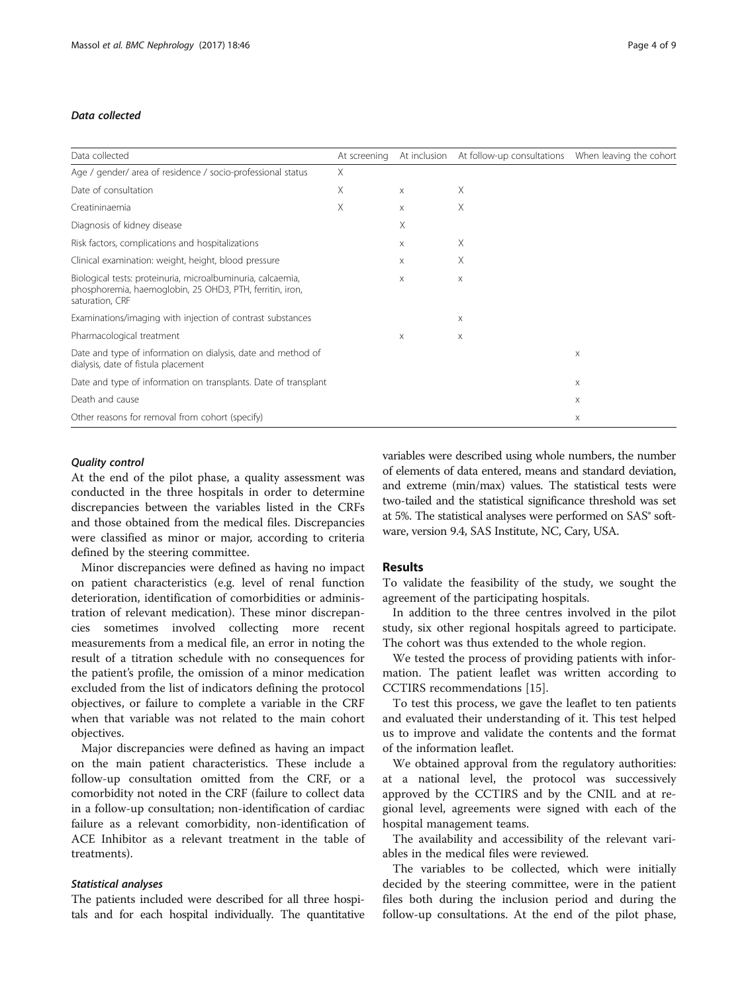## Data collected

| Data collected                                                                                                                             | At screening | At inclusion | At follow-up consultations | When leaving the cohort |
|--------------------------------------------------------------------------------------------------------------------------------------------|--------------|--------------|----------------------------|-------------------------|
| Age / gender/ area of residence / socio-professional status                                                                                | X            |              |                            |                         |
| Date of consultation                                                                                                                       | X            | X            | X                          |                         |
| Creatininaemia                                                                                                                             | X            | X            | Χ                          |                         |
| Diagnosis of kidney disease                                                                                                                |              | X            |                            |                         |
| Risk factors, complications and hospitalizations                                                                                           |              | X            | Χ                          |                         |
| Clinical examination: weight, height, blood pressure                                                                                       |              | X            | Χ                          |                         |
| Biological tests: proteinuria, microalbuminuria, calcaemia,<br>phosphoremia, haemoglobin, 25 OHD3, PTH, ferritin, iron,<br>saturation, CRF |              | X            | X                          |                         |
| Examinations/imaging with injection of contrast substances                                                                                 |              |              | X                          |                         |
| Pharmacological treatment                                                                                                                  |              | X            | X                          |                         |
| Date and type of information on dialysis, date and method of<br>dialysis, date of fistula placement                                        |              |              |                            | X                       |
| Date and type of information on transplants. Date of transplant                                                                            |              |              |                            | X                       |
| Death and cause                                                                                                                            |              |              |                            | X                       |
| Other reasons for removal from cohort (specify)                                                                                            |              |              |                            | X                       |

#### Quality control

At the end of the pilot phase, a quality assessment was conducted in the three hospitals in order to determine discrepancies between the variables listed in the CRFs and those obtained from the medical files. Discrepancies were classified as minor or major, according to criteria defined by the steering committee.

Minor discrepancies were defined as having no impact on patient characteristics (e.g. level of renal function deterioration, identification of comorbidities or administration of relevant medication). These minor discrepancies sometimes involved collecting more recent measurements from a medical file, an error in noting the result of a titration schedule with no consequences for the patient's profile, the omission of a minor medication excluded from the list of indicators defining the protocol objectives, or failure to complete a variable in the CRF when that variable was not related to the main cohort objectives.

Major discrepancies were defined as having an impact on the main patient characteristics. These include a follow-up consultation omitted from the CRF, or a comorbidity not noted in the CRF (failure to collect data in a follow-up consultation; non-identification of cardiac failure as a relevant comorbidity, non-identification of ACE Inhibitor as a relevant treatment in the table of treatments).

## Statistical analyses

The patients included were described for all three hospitals and for each hospital individually. The quantitative variables were described using whole numbers, the number of elements of data entered, means and standard deviation, and extreme (min/max) values. The statistical tests were two-tailed and the statistical significance threshold was set at 5%. The statistical analyses were performed on SAS® software, version 9.4, SAS Institute, NC, Cary, USA.

## **Results**

To validate the feasibility of the study, we sought the agreement of the participating hospitals.

In addition to the three centres involved in the pilot study, six other regional hospitals agreed to participate. The cohort was thus extended to the whole region.

We tested the process of providing patients with information. The patient leaflet was written according to CCTIRS recommendations [[15\]](#page-8-0).

To test this process, we gave the leaflet to ten patients and evaluated their understanding of it. This test helped us to improve and validate the contents and the format of the information leaflet.

We obtained approval from the regulatory authorities: at a national level, the protocol was successively approved by the CCTIRS and by the CNIL and at regional level, agreements were signed with each of the hospital management teams.

The availability and accessibility of the relevant variables in the medical files were reviewed.

The variables to be collected, which were initially decided by the steering committee, were in the patient files both during the inclusion period and during the follow-up consultations. At the end of the pilot phase,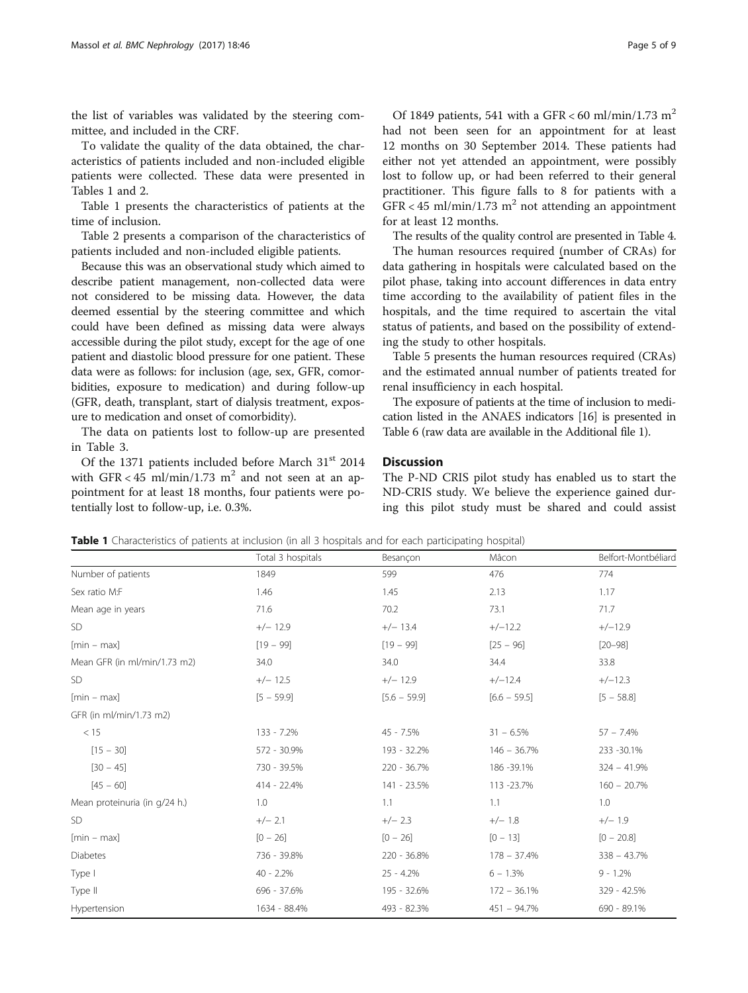the list of variables was validated by the steering committee, and included in the CRF.

To validate the quality of the data obtained, the characteristics of patients included and non-included eligible patients were collected. These data were presented in Tables 1 and [2](#page-5-0).

Table 1 presents the characteristics of patients at the time of inclusion.

Table [2](#page-5-0) presents a comparison of the characteristics of patients included and non-included eligible patients.

Because this was an observational study which aimed to describe patient management, non-collected data were not considered to be missing data. However, the data deemed essential by the steering committee and which could have been defined as missing data were always accessible during the pilot study, except for the age of one patient and diastolic blood pressure for one patient. These data were as follows: for inclusion (age, sex, GFR, comorbidities, exposure to medication) and during follow-up (GFR, death, transplant, start of dialysis treatment, exposure to medication and onset of comorbidity).

The data on patients lost to follow-up are presented in Table [3](#page-5-0).

Of the 1371 patients included before March 31<sup>st</sup> 2014 with GFR < 45 ml/min/1.73 m<sup>2</sup> and not seen at an appointment for at least 18 months, four patients were potentially lost to follow-up, i.e. 0.3%.

Of 1849 patients, 541 with a GFR < 60 ml/min/1.73 m<sup>2</sup> had not been seen for an appointment for at least 12 months on 30 September 2014. These patients had either not yet attended an appointment, were possibly lost to follow up, or had been referred to their general practitioner. This figure falls to 8 for patients with a  $GFR < 45$  ml/min/1.73 m<sup>2</sup> not attending an appointment for at least 12 months.

The results of the quality control are presented in Table [4](#page-5-0).

The human resources required (number of CRAs) for data gathering in hospitals were calculated based on the pilot phase, taking into account differences in data entry time according to the availability of patient files in the hospitals, and the time required to ascertain the vital status of patients, and based on the possibility of extending the study to other hospitals.

Table [5](#page-5-0) presents the human resources required (CRAs) and the estimated annual number of patients treated for renal insufficiency in each hospital.

The exposure of patients at the time of inclusion to medication listed in the ANAES indicators [\[16\]](#page-8-0) is presented in Table [6](#page-6-0) (raw data are available in the Additional file [1](#page-7-0)).

## **Discussion**

The P-ND CRIS pilot study has enabled us to start the ND-CRIS study. We believe the experience gained during this pilot study must be shared and could assist

**Table 1** Characteristics of patients at inclusion (in all 3 hospitals and for each participating hospital)

|                               | Total 3 hospitals | Besançon       | Mâcon          | Belfort-Montbéliard |
|-------------------------------|-------------------|----------------|----------------|---------------------|
| Number of patients            | 1849              | 599            | 476            | 774                 |
| Sex ratio M:F                 | 1.46              | 1.45           | 2.13           | 1.17                |
| Mean age in years             | 71.6              | 70.2           | 73.1           | 71.7                |
| <b>SD</b>                     | $+/- 12.9$        | $+/-$ 13.4     | $+/-12.2$      | $+/-12.9$           |
| $[min - max]$                 | $[19 - 99]$       | $[19 - 99]$    | $[25 - 96]$    | $[20 - 98]$         |
| Mean GFR (in ml/min/1.73 m2)  | 34.0              | 34.0           | 34.4           | 33.8                |
| <b>SD</b>                     | $+/- 12.5$        | $+/- 12.9$     | $+/-12.4$      | $+/-12.3$           |
| $[min - max]$                 | $[5 - 59.9]$      | $[5.6 - 59.9]$ | $[6.6 - 59.5]$ | $[5 - 58.8]$        |
| GFR (in ml/min/1.73 m2)       |                   |                |                |                     |
| < 15                          | 133 - 7.2%        | $45 - 7.5%$    | $31 - 6.5%$    | $57 - 7.4%$         |
| $[15 - 30]$                   | 572 - 30.9%       | 193 - 32.2%    | $146 - 36.7%$  | 233 - 30.1%         |
| $[30 - 45]$                   | 730 - 39.5%       | 220 - 36.7%    | 186-39.1%      | $324 - 41.9%$       |
| $[45 - 60]$                   | 414 - 22.4%       | 141 - 23.5%    | 113 - 23.7%    | $160 - 20.7\%$      |
| Mean proteinuria (in g/24 h.) | 1.0               | 1.1            | 1.1            | 1.0                 |
| <b>SD</b>                     | $+/- 2.1$         | $+/- 2.3$      | $+/- 1.8$      | $+/- 1.9$           |
| $[min - max]$                 | $[0 - 26]$        | $[0 - 26]$     | $[0 - 13]$     | $[0 - 20.8]$        |
| Diabetes                      | 736 - 39.8%       | 220 - 36.8%    | $178 - 37.4%$  | $338 - 43.7%$       |
| Type I                        | $40 - 2.2%$       | $25 - 4.2%$    | $6 - 1.3%$     | $9 - 1.2%$          |
| Type II                       | 696 - 37.6%       | 195 - 32.6%    | $172 - 36.1%$  | 329 - 42.5%         |
| Hypertension                  | 1634 - 88.4%      | 493 - 82.3%    | $451 - 94.7%$  | 690 - 89.1%         |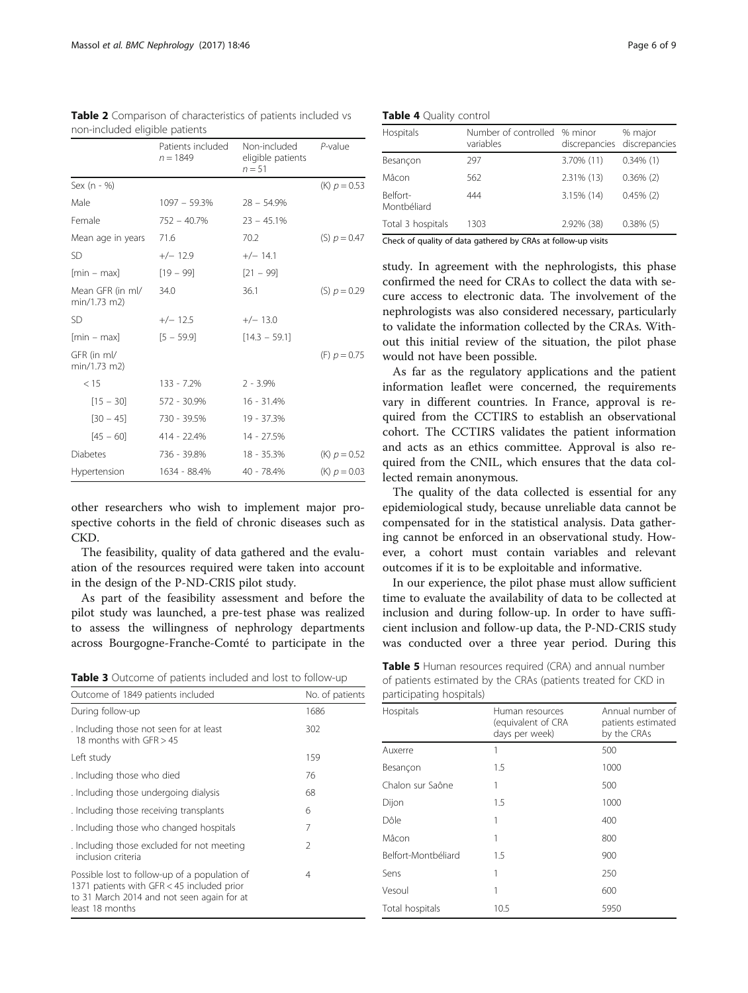| Horr included engible patients   |                                 |                                               |                |  |
|----------------------------------|---------------------------------|-----------------------------------------------|----------------|--|
|                                  | Patients included<br>$n = 1849$ | Non-included<br>eligible patients<br>$n = 51$ | $P$ -value     |  |
| Sex (n - %)                      |                                 |                                               | (K) $p = 0.53$ |  |
| Male                             | $1097 - 59.3%$                  | $28 - 54.9%$                                  |                |  |
| Female                           | $752 - 40.7\%$                  | $23 - 45.1%$                                  |                |  |
| Mean age in years                | 71.6                            | 70.2                                          | (S) $p = 0.47$ |  |
| SD                               | $+/- 12.9$                      | $+/-$ 14.1                                    |                |  |
| $[min - max]$                    | $[19 - 99]$                     | $[21 - 99]$                                   |                |  |
| Mean GFR (in ml/<br>min/1.73 m2) | 34.0                            | 36.1                                          | (S) $p = 0.29$ |  |
| <b>SD</b>                        | $+/-$ 12.5                      | $+/- 13.0$                                    |                |  |
| $[min - max]$                    | $[5 - 59.9]$                    | $[14.3 - 59.1]$                               |                |  |
| GFR (in ml/<br>min/1.73 m2)      |                                 |                                               | (F) $p = 0.75$ |  |
| < 15                             | 133 - 7.2%                      | $2 - 3.9%$                                    |                |  |
| $[15 - 30]$                      | 572 - 30.9%                     | 16 - 31.4%                                    |                |  |
| $[30 - 45]$                      | 730 - 39.5%                     | 19 - 37.3%                                    |                |  |
| $[45 - 60]$                      | 414 - 22.4%                     | 14 - 27.5%                                    |                |  |
| <b>Diabetes</b>                  | 736 - 39.8%                     | 18 - 35.3%                                    | (K) $p = 0.52$ |  |
| Hypertension                     | 1634 - 88.4%                    | 40 - 78.4%                                    | (K) $p = 0.03$ |  |

<span id="page-5-0"></span>Table 2 Comparison of characteristics of patients included vs non-included eligible patients

other researchers who wish to implement major prospective cohorts in the field of chronic diseases such as CKD.

The feasibility, quality of data gathered and the evaluation of the resources required were taken into account in the design of the P-ND-CRIS pilot study.

As part of the feasibility assessment and before the pilot study was launched, a pre-test phase was realized to assess the willingness of nephrology departments across Bourgogne-Franche-Comté to participate in the

|  |  | <b>Table 3</b> Outcome of patients included and lost to follow-up |
|--|--|-------------------------------------------------------------------|
|--|--|-------------------------------------------------------------------|

| Outcome of 1849 patients included                                                                                                                            | No. of patients |
|--------------------------------------------------------------------------------------------------------------------------------------------------------------|-----------------|
| During follow-up                                                                                                                                             | 1686            |
| . Including those not seen for at least<br>18 months with GFR > 45                                                                                           | 302             |
| Left study                                                                                                                                                   | 159             |
| . Including those who died                                                                                                                                   | 76              |
| . Including those undergoing dialysis                                                                                                                        | 68              |
| . Including those receiving transplants                                                                                                                      | 6               |
| . Including those who changed hospitals                                                                                                                      | 7               |
| . Including those excluded for not meeting<br>inclusion criteria                                                                                             | 2               |
| Possible lost to follow-up of a population of<br>1371 patients with GFR < 45 included prior<br>to 31 March 2014 and not seen again for at<br>least 18 months | 4               |

Table 4 Quality control

| Hospitals               | Number of controlled % minor<br>variables | discrepancies | % major<br>discrepancies |
|-------------------------|-------------------------------------------|---------------|--------------------------|
| Besançon                | 297                                       | 3.70% (11)    | $0.34\%$ (1)             |
| Mâcon                   | 562                                       | 2.31% (13)    | $0.36\%$ (2)             |
| Belfort-<br>Montbéliard | 444                                       | 3.15% (14)    | $0.45\%$ (2)             |
| Total 3 hospitals       | 1303                                      | 2.92% (38)    | $0.38\%$ (5)             |
|                         | .                                         |               |                          |

Check of quality of data gathered by CRAs at follow-up visits

study. In agreement with the nephrologists, this phase confirmed the need for CRAs to collect the data with secure access to electronic data. The involvement of the nephrologists was also considered necessary, particularly to validate the information collected by the CRAs. Without this initial review of the situation, the pilot phase would not have been possible.

As far as the regulatory applications and the patient information leaflet were concerned, the requirements vary in different countries. In France, approval is required from the CCTIRS to establish an observational cohort. The CCTIRS validates the patient information and acts as an ethics committee. Approval is also required from the CNIL, which ensures that the data collected remain anonymous.

The quality of the data collected is essential for any epidemiological study, because unreliable data cannot be compensated for in the statistical analysis. Data gathering cannot be enforced in an observational study. However, a cohort must contain variables and relevant outcomes if it is to be exploitable and informative.

In our experience, the pilot phase must allow sufficient time to evaluate the availability of data to be collected at inclusion and during follow-up. In order to have sufficient inclusion and follow-up data, the P-ND-CRIS study was conducted over a three year period. During this

| Table 5 Human resources required (CRA) and annual number       |
|----------------------------------------------------------------|
| of patients estimated by the CRAs (patients treated for CKD in |
| participating hospitals)                                       |

| Auxerre<br>Besançon | days per week)<br>1<br>1.5 | by the CRAs<br>500 |
|---------------------|----------------------------|--------------------|
|                     |                            |                    |
|                     |                            | 1000               |
| Chalon sur Saône    | 1                          | 500                |
| Dijon               | 1.5                        | 1000               |
| Dôle                | 1                          | 400                |
| Mâcon               | 1                          | 800                |
| Belfort-Montbéliard | 1.5                        | 900                |
| Sens                |                            | 250                |
| Vesoul              | 1                          | 600                |
| Total hospitals     | 10.5                       | 5950               |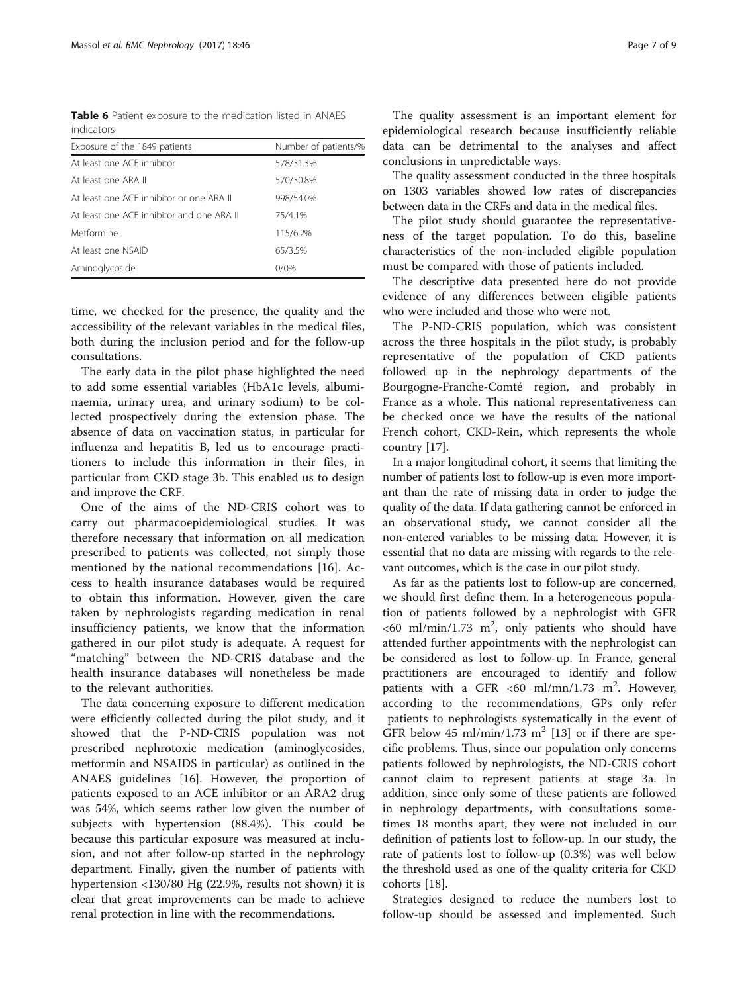<span id="page-6-0"></span>Table 6 Patient exposure to the medication listed in ANAES indicators

| Exposure of the 1849 patients             | Number of patients/% |
|-------------------------------------------|----------------------|
| At least one ACF inhibitor                | 578/31.3%            |
| At least one ARA II                       | 570/30.8%            |
| At least one ACF inhibitor or one ARA II  | 998/54.0%            |
| At least one ACF inhibitor and one ARA II | 75/4.1%              |
| Metformine                                | 115/6.2%             |
| At least one NSAID                        | 65/3.5%              |
| Aminoglycoside                            | 0/0%                 |

time, we checked for the presence, the quality and the accessibility of the relevant variables in the medical files, both during the inclusion period and for the follow-up consultations.

The early data in the pilot phase highlighted the need to add some essential variables (HbA1c levels, albuminaemia, urinary urea, and urinary sodium) to be collected prospectively during the extension phase. The absence of data on vaccination status, in particular for influenza and hepatitis B, led us to encourage practitioners to include this information in their files, in particular from CKD stage 3b. This enabled us to design and improve the CRF.

One of the aims of the ND-CRIS cohort was to carry out pharmacoepidemiological studies. It was therefore necessary that information on all medication prescribed to patients was collected, not simply those mentioned by the national recommendations [\[16](#page-8-0)]. Access to health insurance databases would be required to obtain this information. However, given the care taken by nephrologists regarding medication in renal insufficiency patients, we know that the information gathered in our pilot study is adequate. A request for "matching" between the ND-CRIS database and the health insurance databases will nonetheless be made to the relevant authorities.

The data concerning exposure to different medication were efficiently collected during the pilot study, and it showed that the P-ND-CRIS population was not prescribed nephrotoxic medication (aminoglycosides, metformin and NSAIDS in particular) as outlined in the ANAES guidelines [[16\]](#page-8-0). However, the proportion of patients exposed to an ACE inhibitor or an ARA2 drug was 54%, which seems rather low given the number of subjects with hypertension (88.4%). This could be because this particular exposure was measured at inclusion, and not after follow-up started in the nephrology department. Finally, given the number of patients with hypertension <130/80 Hg (22.9%, results not shown) it is clear that great improvements can be made to achieve renal protection in line with the recommendations.

The quality assessment is an important element for epidemiological research because insufficiently reliable data can be detrimental to the analyses and affect conclusions in unpredictable ways.

The quality assessment conducted in the three hospitals on 1303 variables showed low rates of discrepancies between data in the CRFs and data in the medical files.

The pilot study should guarantee the representativeness of the target population. To do this, baseline characteristics of the non-included eligible population must be compared with those of patients included.

The descriptive data presented here do not provide evidence of any differences between eligible patients who were included and those who were not.

The P-ND-CRIS population, which was consistent across the three hospitals in the pilot study, is probably representative of the population of CKD patients followed up in the nephrology departments of the Bourgogne-Franche-Comté region, and probably in France as a whole. This national representativeness can be checked once we have the results of the national French cohort, CKD-Rein, which represents the whole country [\[17](#page-8-0)].

In a major longitudinal cohort, it seems that limiting the number of patients lost to follow-up is even more important than the rate of missing data in order to judge the quality of the data. If data gathering cannot be enforced in an observational study, we cannot consider all the non-entered variables to be missing data. However, it is essential that no data are missing with regards to the relevant outcomes, which is the case in our pilot study.

As far as the patients lost to follow-up are concerned, we should first define them. In a heterogeneous population of patients followed by a nephrologist with GFR  $<$  60 ml/min/1.73 m<sup>2</sup>, only patients who should have attended further appointments with the nephrologist can be considered as lost to follow-up. In France, general practitioners are encouraged to identify and follow patients with a GFR <60 ml/mn/1.73 m<sup>2</sup>. However, according to the recommendations, GPs only refer patients to nephrologists systematically in the event of GFR below 45 ml/min/1.73 m<sup>2</sup> [[13\]](#page-8-0) or if there are specific problems. Thus, since our population only concerns patients followed by nephrologists, the ND-CRIS cohort cannot claim to represent patients at stage 3a. In addition, since only some of these patients are followed in nephrology departments, with consultations sometimes 18 months apart, they were not included in our definition of patients lost to follow-up. In our study, the rate of patients lost to follow-up (0.3%) was well below the threshold used as one of the quality criteria for CKD cohorts [[18](#page-8-0)].

Strategies designed to reduce the numbers lost to follow-up should be assessed and implemented. Such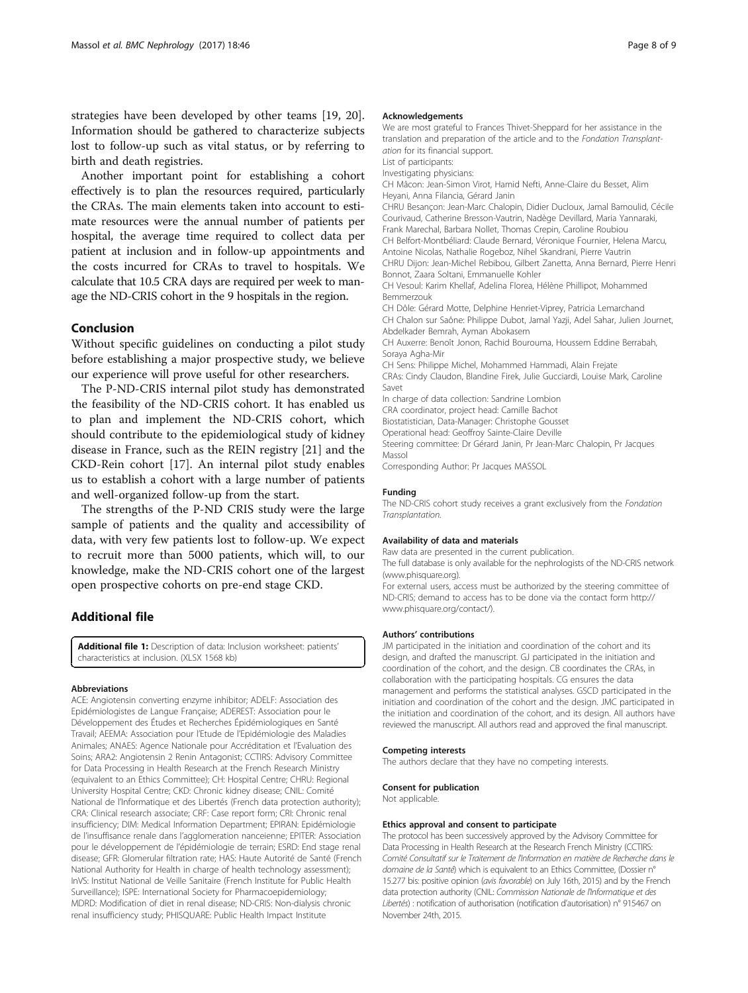<span id="page-7-0"></span>strategies have been developed by other teams [\[19](#page-8-0), [20](#page-8-0)]. Information should be gathered to characterize subjects lost to follow-up such as vital status, or by referring to birth and death registries.

Another important point for establishing a cohort effectively is to plan the resources required, particularly the CRAs. The main elements taken into account to estimate resources were the annual number of patients per hospital, the average time required to collect data per patient at inclusion and in follow-up appointments and the costs incurred for CRAs to travel to hospitals. We calculate that 10.5 CRA days are required per week to manage the ND-CRIS cohort in the 9 hospitals in the region.

## Conclusion

Without specific guidelines on conducting a pilot study before establishing a major prospective study, we believe our experience will prove useful for other researchers.

The P-ND-CRIS internal pilot study has demonstrated the feasibility of the ND-CRIS cohort. It has enabled us to plan and implement the ND-CRIS cohort, which should contribute to the epidemiological study of kidney disease in France, such as the REIN registry [\[21](#page-8-0)] and the CKD-Rein cohort [\[17\]](#page-8-0). An internal pilot study enables us to establish a cohort with a large number of patients and well-organized follow-up from the start.

The strengths of the P-ND CRIS study were the large sample of patients and the quality and accessibility of data, with very few patients lost to follow-up. We expect to recruit more than 5000 patients, which will, to our knowledge, make the ND-CRIS cohort one of the largest open prospective cohorts on pre-end stage CKD.

## Additional file

[Additional file 1:](dx.doi.org/10.1186/s12882-017-0463-3) Description of data: Inclusion worksheet: patients' characteristics at inclusion. (XLSX 1568 kb)

#### **Abbreviations**

ACE: Angiotensin converting enzyme inhibitor; ADELF: Association des Epidémiologistes de Langue Française; ADEREST: Association pour le Développement des Études et Recherches Épidémiologiques en Santé Travail; AEEMA: Association pour l'Etude de l'Epidémiologie des Maladies Animales; ANAES: Agence Nationale pour Accréditation et l'Evaluation des Soins; ARA2: Angiotensin 2 Renin Antagonist; CCTIRS: Advisory Committee for Data Processing in Health Research at the French Research Ministry (equivalent to an Ethics Committee); CH: Hospital Centre; CHRU: Regional University Hospital Centre; CKD: Chronic kidney disease; CNIL: Comité National de l'Informatique et des Libertés (French data protection authority); CRA: Clinical research associate; CRF: Case report form; CRI: Chronic renal insufficiency; DIM: Medical Information Department; EPIRAN: Epidémiologie de l'insuffisance renale dans l'agglomeration nanceienne; EPITER: Association pour le développement de l'épidémiologie de terrain; ESRD: End stage renal disease; GFR: Glomerular filtration rate; HAS: Haute Autorité de Santé (French National Authority for Health in charge of health technology assessment); InVS: Institut National de Veille Sanitaire (French Institute for Public Health Surveillance); ISPE: International Society for Pharmacoepidemiology; MDRD: Modification of diet in renal disease; ND-CRIS: Non-dialysis chronic renal insufficiency study; PHISQUARE: Public Health Impact Institute

#### Acknowledgements

We are most grateful to Frances Thivet-Sheppard for her assistance in the translation and preparation of the article and to the Fondation Transplantation for its financial support.

List of participants:

Investigating physicians:

CH Mâcon: Jean-Simon Virot, Hamid Nefti, Anne-Claire du Besset, Alim Heyani, Anna Filancia, Gérard Janin

CHRU Besançon: Jean-Marc Chalopin, Didier Ducloux, Jamal Bamoulid, Cécile Courivaud, Catherine Bresson-Vautrin, Nadège Devillard, Maria Yannaraki, Frank Marechal, Barbara Nollet, Thomas Crepin, Caroline Roubiou

CH Belfort-Montbéliard: Claude Bernard, Véronique Fournier, Helena Marcu, Antoine Nicolas, Nathalie Rogeboz, Nihel Skandrani, Pierre Vautrin

CHRU Dijon: Jean-Michel Rebibou, Gilbert Zanetta, Anna Bernard, Pierre Henri Bonnot, Zaara Soltani, Emmanuelle Kohler

CH Vesoul: Karim Khellaf, Adelina Florea, Hélène Phillipot, Mohammed Bemmerzouk

CH Dôle: Gérard Motte, Delphine Henriet-Viprey, Patricia Lemarchand CH Chalon sur Saône: Philippe Dubot, Jamal Yazji, Adel Sahar, Julien Journet, Abdelkader Bemrah, Ayman Abokasem

CH Auxerre: Benoît Jonon, Rachid Bourouma, Houssem Eddine Berrabah, Soraya Agha-Mir

CH Sens: Philippe Michel, Mohammed Hammadi, Alain Frejate

CRAs: Cindy Claudon, Blandine Firek, Julie Gucciardi, Louise Mark, Caroline Savet

In charge of data collection: Sandrine Lombion

CRA coordinator, project head: Camille Bachot

Biostatistician, Data-Manager: Christophe Gousset

Operational head: Geoffroy Sainte-Claire Deville

Steering committee: Dr Gérard Janin, Pr Jean-Marc Chalopin, Pr Jacques Massol

Corresponding Author: Pr Jacques MASSOL

#### Funding

The ND-CRIS cohort study receives a grant exclusively from the Fondation Transplantation.

#### Availability of data and materials

Raw data are presented in the current publication.

The full database is only available for the nephrologists of the ND-CRIS network ([www.phisquare.org](http://www.phisquare.org/)).

For external users, access must be authorized by the steering committee of ND-CRIS; demand to access has to be done via the contact form [http://](http://www.phisquare.org/contact/) [www.phisquare.org/contact/\)](http://www.phisquare.org/contact/).

#### Authors' contributions

JM participated in the initiation and coordination of the cohort and its design, and drafted the manuscript. GJ participated in the initiation and coordination of the cohort, and the design. CB coordinates the CRAs, in collaboration with the participating hospitals. CG ensures the data management and performs the statistical analyses. GSCD participated in the initiation and coordination of the cohort and the design. JMC participated in the initiation and coordination of the cohort, and its design. All authors have reviewed the manuscript. All authors read and approved the final manuscript.

#### Competing interests

The authors declare that they have no competing interests.

#### Consent for publication

Not applicable

#### Ethics approval and consent to participate

The protocol has been successively approved by the Advisory Committee for Data Processing in Health Research at the Research French Ministry (CCTIRS: Comité Consultatif sur le Traitement de l'Information en matière de Recherche dans le domaine de la Santé) which is equivalent to an Ethics Committee, (Dossier n° 15.277 bis: positive opinion (avis favorable) on July 16th, 2015) and by the French data protection authority (CNIL: Commission Nationale de l'Informatique et des Libertés) : notification of authorisation (notification d'autorisation) n° 915467 on November 24th, 2015.